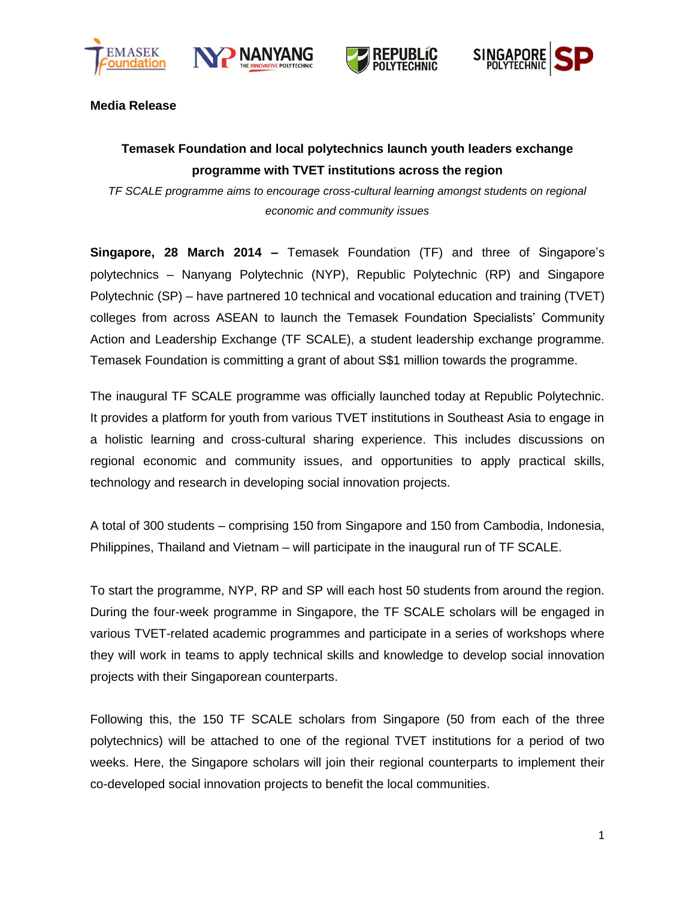







**Media Release**

# **Temasek Foundation and local polytechnics launch youth leaders exchange programme with TVET institutions across the region**

*TF SCALE programme aims to encourage cross-cultural learning amongst students on regional economic and community issues*

**Singapore, 28 March 2014 –** Temasek Foundation (TF) and three of Singapore's polytechnics – Nanyang Polytechnic (NYP), Republic Polytechnic (RP) and Singapore Polytechnic (SP) – have partnered 10 technical and vocational education and training (TVET) colleges from across ASEAN to launch the Temasek Foundation Specialists' Community Action and Leadership Exchange (TF SCALE), a student leadership exchange programme. Temasek Foundation is committing a grant of about S\$1 million towards the programme.

The inaugural TF SCALE programme was officially launched today at Republic Polytechnic. It provides a platform for youth from various TVET institutions in Southeast Asia to engage in a holistic learning and cross-cultural sharing experience. This includes discussions on regional economic and community issues, and opportunities to apply practical skills, technology and research in developing social innovation projects.

A total of 300 students – comprising 150 from Singapore and 150 from Cambodia, Indonesia, Philippines, Thailand and Vietnam – will participate in the inaugural run of TF SCALE.

To start the programme, NYP, RP and SP will each host 50 students from around the region. During the four-week programme in Singapore, the TF SCALE scholars will be engaged in various TVET-related academic programmes and participate in a series of workshops where they will work in teams to apply technical skills and knowledge to develop social innovation projects with their Singaporean counterparts.

Following this, the 150 TF SCALE scholars from Singapore (50 from each of the three polytechnics) will be attached to one of the regional TVET institutions for a period of two weeks. Here, the Singapore scholars will join their regional counterparts to implement their co-developed social innovation projects to benefit the local communities.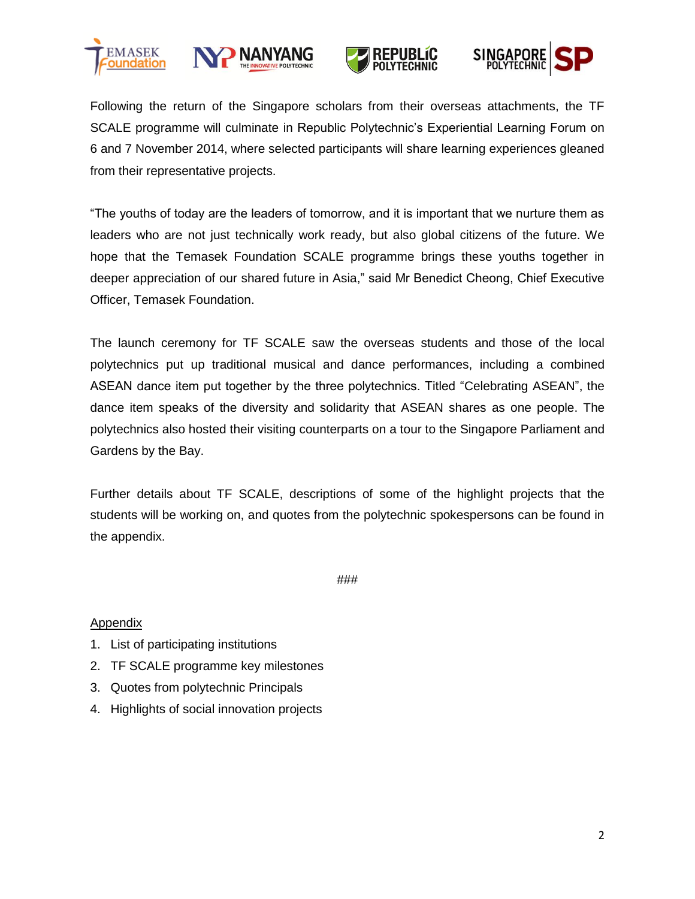







Following the return of the Singapore scholars from their overseas attachments, the TF SCALE programme will culminate in Republic Polytechnic's Experiential Learning Forum on 6 and 7 November 2014, where selected participants will share learning experiences gleaned from their representative projects.

"The youths of today are the leaders of tomorrow, and it is important that we nurture them as leaders who are not just technically work ready, but also global citizens of the future. We hope that the Temasek Foundation SCALE programme brings these youths together in deeper appreciation of our shared future in Asia," said Mr Benedict Cheong, Chief Executive Officer, Temasek Foundation.

The launch ceremony for TF SCALE saw the overseas students and those of the local polytechnics put up traditional musical and dance performances, including a combined ASEAN dance item put together by the three polytechnics. Titled "Celebrating ASEAN", the dance item speaks of the diversity and solidarity that ASEAN shares as one people. The polytechnics also hosted their visiting counterparts on a tour to the Singapore Parliament and Gardens by the Bay.

Further details about TF SCALE, descriptions of some of the highlight projects that the students will be working on, and quotes from the polytechnic spokespersons can be found in the appendix.

###

## **Appendix**

- 1. List of participating institutions
- 2. TF SCALE programme key milestones
- 3. Quotes from polytechnic Principals
- 4. Highlights of social innovation projects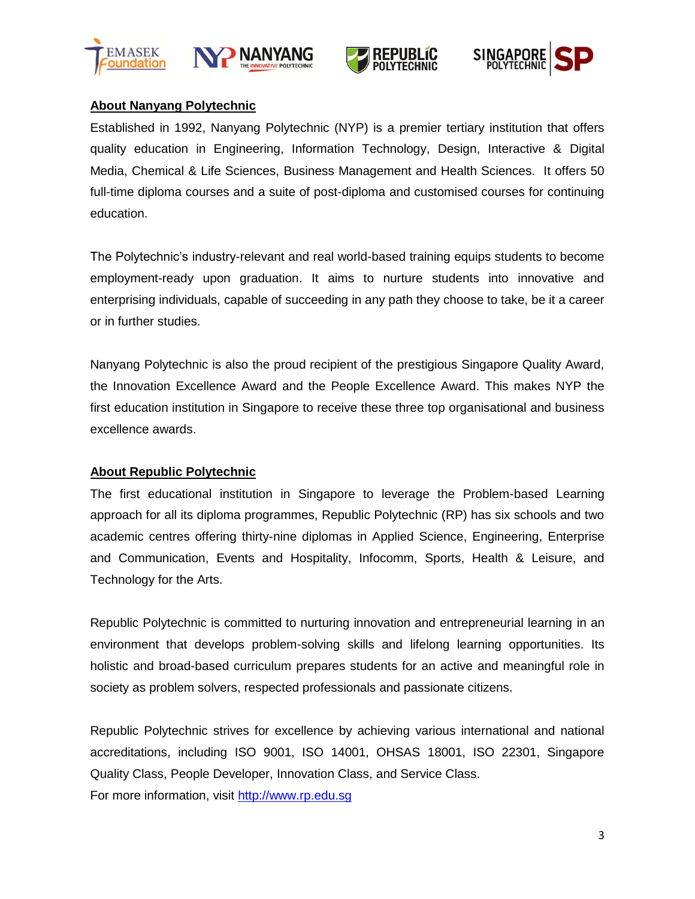







# **About Nanyang Polytechnic**

Established in 1992, Nanyang Polytechnic (NYP) is a premier tertiary institution that offers quality education in Engineering, Information Technology, Design, Interactive & Digital Media, Chemical & Life Sciences, Business Management and Health Sciences. It offers 50 full-time diploma courses and a suite of post-diploma and customised courses for continuing education.

The Polytechnic's industry-relevant and real world-based training equips students to become employment-ready upon graduation. It aims to nurture students into innovative and enterprising individuals, capable of succeeding in any path they choose to take, be it a career or in further studies.

Nanyang Polytechnic is also the proud recipient of the prestigious Singapore Quality Award, the Innovation Excellence Award and the People Excellence Award. This makes NYP the first education institution in Singapore to receive these three top organisational and business excellence awards.

# **About Republic Polytechnic**

The first educational institution in Singapore to leverage the Problem-based Learning approach for all its diploma programmes, Republic Polytechnic (RP) has six schools and two academic centres offering thirty-nine diplomas in Applied Science, Engineering, Enterprise and Communication, Events and Hospitality, Infocomm, Sports, Health & Leisure, and Technology for the Arts.

Republic Polytechnic is committed to nurturing innovation and entrepreneurial learning in an environment that develops problem-solving skills and lifelong learning opportunities. Its holistic and broad-based curriculum prepares students for an active and meaningful role in society as problem solvers, respected professionals and passionate citizens.

Republic Polytechnic strives for excellence by achieving various international and national accreditations, including ISO 9001, ISO 14001, OHSAS 18001, ISO 22301, Singapore Quality Class, People Developer, Innovation Class, and Service Class. For more information, visit [http://www.rp.edu.sg](http://www.rp.edu.sg/)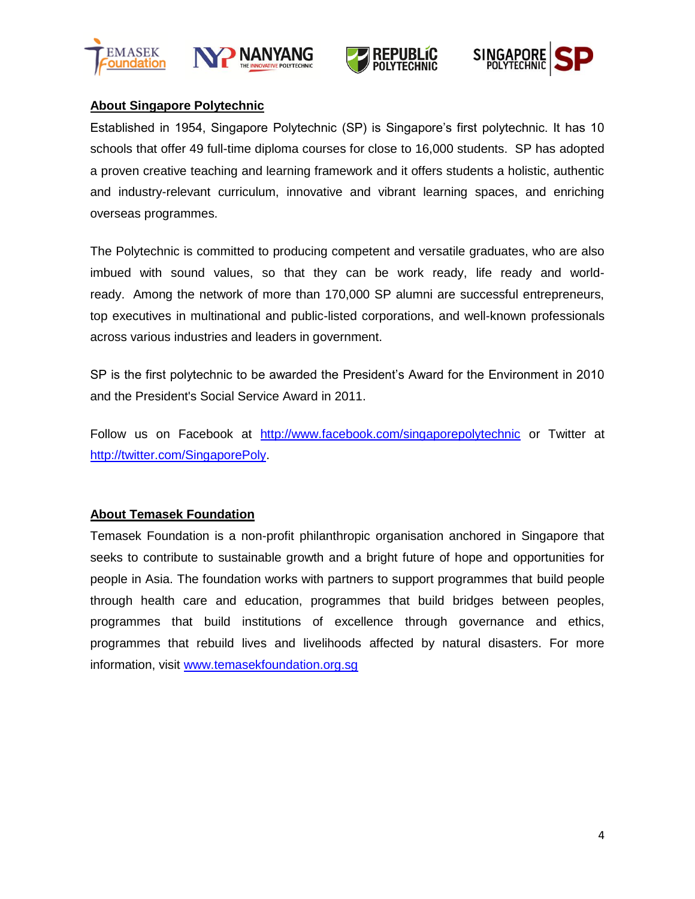







# **About Singapore Polytechnic**

Established in 1954, Singapore Polytechnic (SP) is Singapore's first polytechnic. It has 10 schools that offer 49 full-time diploma courses for close to 16,000 students. SP has adopted a proven creative teaching and learning framework and it offers students a holistic, authentic and industry-relevant curriculum, innovative and vibrant learning spaces, and enriching overseas programmes.

The Polytechnic is committed to producing competent and versatile graduates, who are also imbued with sound values, so that they can be work ready, life ready and worldready. Among the network of more than 170,000 SP alumni are successful entrepreneurs, top executives in multinational and public-listed corporations, and well-known professionals across various industries and leaders in government.

SP is the first polytechnic to be awarded the President's Award for the Environment in 2010 and the President's Social Service Award in 2011.

Follow us on Facebook at <http://www.facebook.com/singaporepolytechnic> or Twitter at [http://twitter.com/SingaporePoly.](http://twitter.com/SingaporePoly)

# **About Temasek Foundation**

Temasek Foundation is a non-profit philanthropic organisation anchored in Singapore that seeks to contribute to sustainable growth and a bright future of hope and opportunities for people in Asia. The foundation works with partners to support programmes that build people through health care and education, programmes that build bridges between peoples, programmes that build institutions of excellence through governance and ethics, programmes that rebuild lives and livelihoods affected by natural disasters. For more information, visit [www.temasekfoundation.org.sg](http://www.temasekfoundation.org.sg/)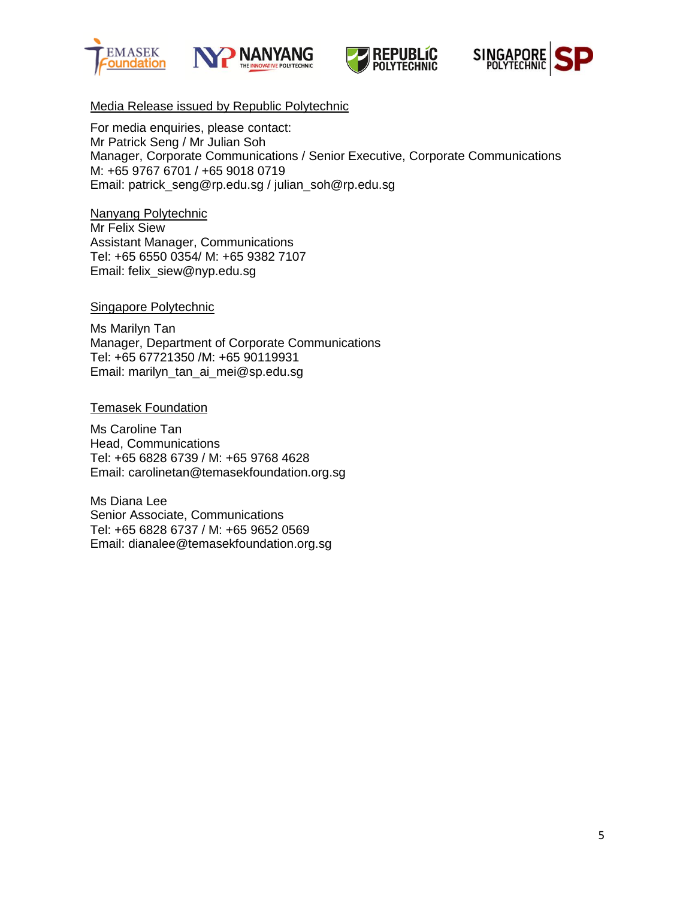







# Media Release issued by Republic Polytechnic

For media enquiries, please contact: Mr Patrick Seng / Mr Julian Soh Manager, Corporate Communications / Senior Executive, Corporate Communications M: +65 9767 6701 / +65 9018 0719 Email: [patrick\\_seng@rp.edu.sg](mailto:patrick_seng@rp.edu.sg) / [julian\\_soh@rp.edu.sg](mailto:julian_soh@rp.edu.sg)

Nanyang Polytechnic Mr Felix Siew Assistant Manager, Communications Tel: +65 6550 0354/ M: +65 9382 7107 Email: [felix\\_siew@nyp.edu.sg](mailto:felix_siew@nyp.edu.sg)

### Singapore Polytechnic

Ms Marilyn Tan Manager, Department of Corporate Communications Tel: +65 67721350 /M: +65 90119931 Email: marilyn\_tan\_ai\_mei@sp.edu.sg

### Temasek Foundation

Ms Caroline Tan Head, Communications Tel: +65 6828 6739 / M: +65 9768 4628 Email: [carolinetan@temasekfoundation.org.sg](mailto:carolinetan@temasekfoundation.org.sg)

Ms Diana Lee Senior Associate, Communications Tel: +65 6828 6737 / M: +65 9652 0569 Email: [dianalee@temasekfoundation.org.sg](mailto:dianalee@temasekfoundation.org.sg)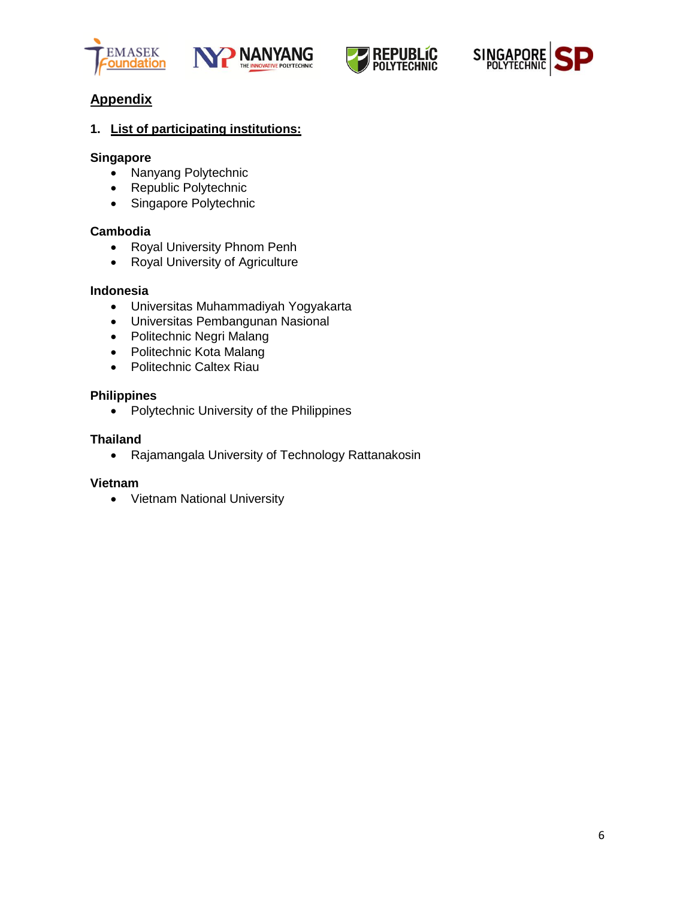







# **Appendix**

# **1. List of participating institutions:**

### **Singapore**

- Nanyang Polytechnic
- Republic Polytechnic
- Singapore Polytechnic

### **Cambodia**

- Royal University Phnom Penh
- Royal University of Agriculture

## **Indonesia**

- Universitas Muhammadiyah Yogyakarta
- Universitas Pembangunan Nasional
- Politechnic Negri Malang
- Politechnic Kota Malang
- Politechnic Caltex Riau

#### **Philippines**

• Polytechnic University of the Philippines

### **Thailand**

Rajamangala University of Technology Rattanakosin

#### **Vietnam**

Vietnam National University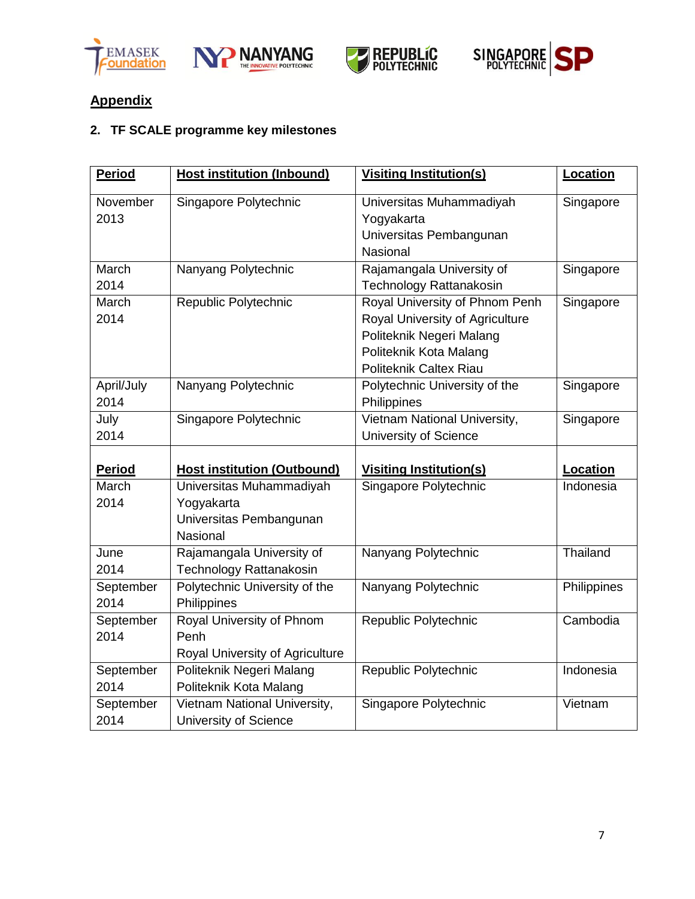







# **Appendix**

# **2. TF SCALE programme key milestones**

| <b>Period</b> | <b>Host institution (Inbound)</b>  | <b>Visiting Institution(s)</b>  | Location           |
|---------------|------------------------------------|---------------------------------|--------------------|
| November      | Singapore Polytechnic              | Universitas Muhammadiyah        | Singapore          |
| 2013          |                                    | Yogyakarta                      |                    |
|               |                                    | Universitas Pembangunan         |                    |
|               |                                    | Nasional                        |                    |
| March         | Nanyang Polytechnic                | Rajamangala University of       | Singapore          |
| 2014          |                                    | Technology Rattanakosin         |                    |
| March         | Republic Polytechnic               | Royal University of Phnom Penh  | Singapore          |
| 2014          |                                    | Royal University of Agriculture |                    |
|               |                                    | Politeknik Negeri Malang        |                    |
|               |                                    | Politeknik Kota Malang          |                    |
|               |                                    | Politeknik Caltex Riau          |                    |
| April/July    | Nanyang Polytechnic                | Polytechnic University of the   | Singapore          |
| 2014          |                                    | Philippines                     |                    |
| July          | Singapore Polytechnic              | Vietnam National University,    | Singapore          |
| 2014          |                                    | <b>University of Science</b>    |                    |
|               |                                    |                                 |                    |
| <b>Period</b> | <b>Host institution (Outbound)</b> | <b>Visiting Institution(s)</b>  | Location           |
| March         | Universitas Muhammadiyah           | Singapore Polytechnic           | Indonesia          |
| 2014          | Yogyakarta                         |                                 |                    |
|               | Universitas Pembangunan            |                                 |                    |
|               | Nasional                           |                                 |                    |
| June          | Rajamangala University of          | Nanyang Polytechnic             | Thailand           |
| 2014          | Technology Rattanakosin            |                                 |                    |
| September     | Polytechnic University of the      | Nanyang Polytechnic             | <b>Philippines</b> |
| 2014          | Philippines                        |                                 |                    |
| September     | Royal University of Phnom          | Republic Polytechnic            | Cambodia           |
| 2014          | Penh                               |                                 |                    |
|               | Royal University of Agriculture    |                                 |                    |
| September     | Politeknik Negeri Malang           | Republic Polytechnic            | Indonesia          |
| 2014          | Politeknik Kota Malang             |                                 |                    |
| September     | Vietnam National University,       | Singapore Polytechnic           | Vietnam            |
| 2014          | University of Science              |                                 |                    |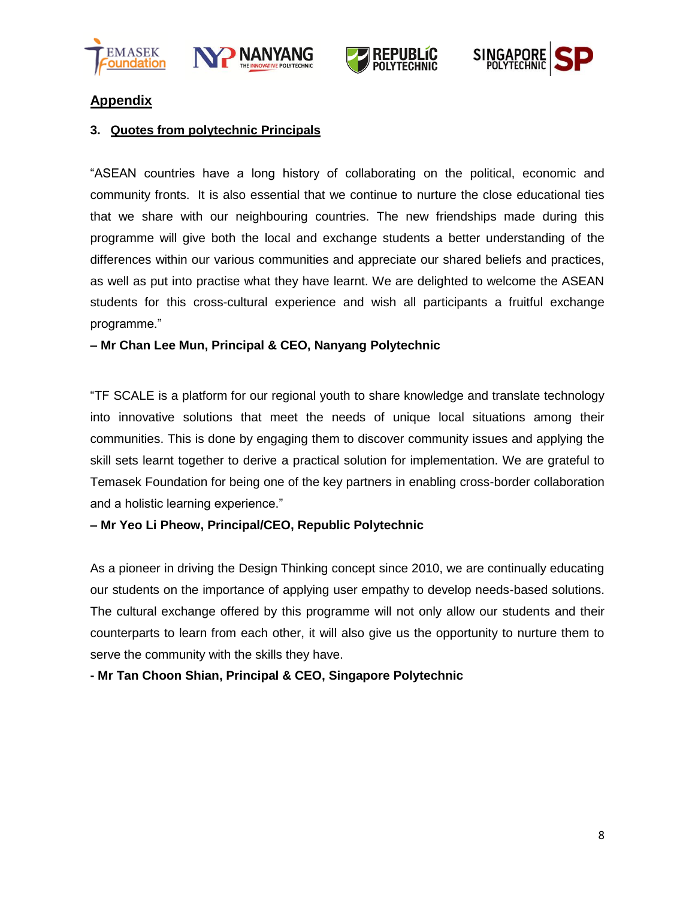







# **Appendix**

# **3. Quotes from polytechnic Principals**

"ASEAN countries have a long history of collaborating on the political, economic and community fronts. It is also essential that we continue to nurture the close educational ties that we share with our neighbouring countries. The new friendships made during this programme will give both the local and exchange students a better understanding of the differences within our various communities and appreciate our shared beliefs and practices, as well as put into practise what they have learnt. We are delighted to welcome the ASEAN students for this cross-cultural experience and wish all participants a fruitful exchange programme."

## **– Mr Chan Lee Mun, Principal & CEO, Nanyang Polytechnic**

"TF SCALE is a platform for our regional youth to share knowledge and translate technology into innovative solutions that meet the needs of unique local situations among their communities. This is done by engaging them to discover community issues and applying the skill sets learnt together to derive a practical solution for implementation. We are grateful to Temasek Foundation for being one of the key partners in enabling cross-border collaboration and a holistic learning experience."

## **– Mr Yeo Li Pheow, Principal/CEO, Republic Polytechnic**

As a pioneer in driving the Design Thinking concept since 2010, we are continually educating our students on the importance of applying user empathy to develop needs-based solutions. The cultural exchange offered by this programme will not only allow our students and their counterparts to learn from each other, it will also give us the opportunity to nurture them to serve the community with the skills they have.

**- Mr Tan Choon Shian, Principal & CEO, Singapore Polytechnic**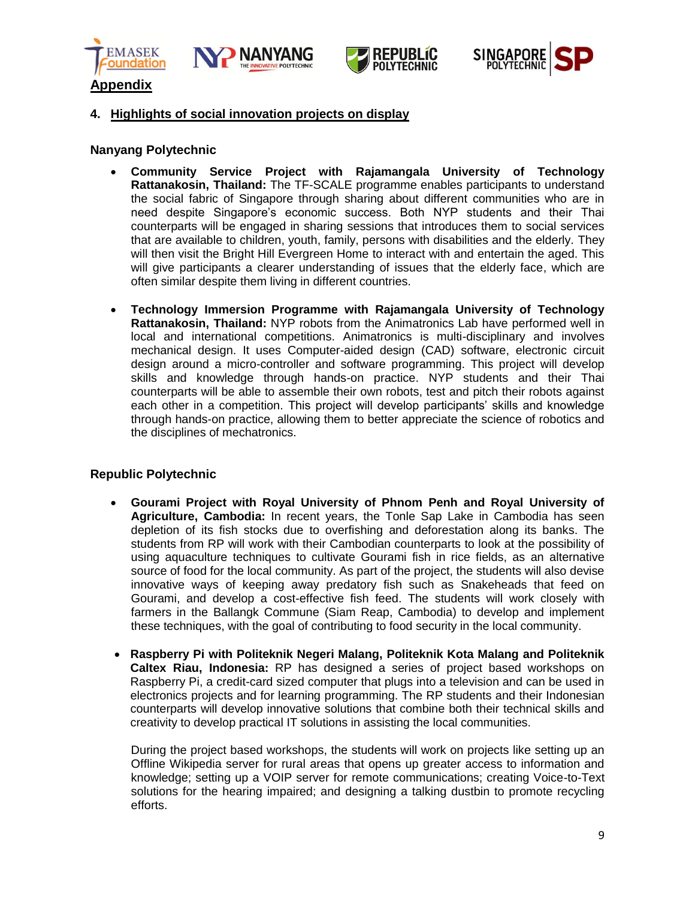







#### **4. Highlights of social innovation projects on display**

#### **Nanyang Polytechnic**

- **Community Service Project with Rajamangala University of Technology Rattanakosin, Thailand:** The TF-SCALE programme enables participants to understand the social fabric of Singapore through sharing about different communities who are in need despite Singapore's economic success. Both NYP students and their Thai counterparts will be engaged in sharing sessions that introduces them to social services that are available to children, youth, family, persons with disabilities and the elderly. They will then visit the Bright Hill Evergreen Home to interact with and entertain the aged. This will give participants a clearer understanding of issues that the elderly face, which are often similar despite them living in different countries.
- **Technology Immersion Programme with Rajamangala University of Technology Rattanakosin, Thailand:** NYP robots from the Animatronics Lab have performed well in local and international competitions. Animatronics is multi-disciplinary and involves mechanical design. It uses Computer-aided design (CAD) software, electronic circuit design around a micro-controller and software programming. This project will develop skills and knowledge through hands-on practice. NYP students and their Thai counterparts will be able to assemble their own robots, test and pitch their robots against each other in a competition. This project will develop participants' skills and knowledge through hands-on practice, allowing them to better appreciate the science of robotics and the disciplines of mechatronics.

#### **Republic Polytechnic**

- **Gourami Project with Royal University of Phnom Penh and Royal University of Agriculture, Cambodia:** In recent years, the Tonle Sap Lake in Cambodia has seen depletion of its fish stocks due to overfishing and deforestation along its banks. The students from RP will work with their Cambodian counterparts to look at the possibility of using aquaculture techniques to cultivate Gourami fish in rice fields, as an alternative source of food for the local community. As part of the project, the students will also devise innovative ways of keeping away predatory fish such as Snakeheads that feed on Gourami, and develop a cost-effective fish feed. The students will work closely with farmers in the Ballangk Commune (Siam Reap, Cambodia) to develop and implement these techniques, with the goal of contributing to food security in the local community.
- **Raspberry Pi with Politeknik Negeri Malang, Politeknik Kota Malang and Politeknik Caltex Riau, Indonesia:** RP has designed a series of project based workshops on Raspberry Pi, a credit-card sized computer that plugs into a television and can be used in electronics projects and for learning programming. The RP students and their Indonesian counterparts will develop innovative solutions that combine both their technical skills and creativity to develop practical IT solutions in assisting the local communities.

During the project based workshops, the students will work on projects like setting up an Offline Wikipedia server for rural areas that opens up greater access to information and knowledge; setting up a VOIP server for remote communications; creating Voice-to-Text solutions for the hearing impaired; and designing a talking dustbin to promote recycling efforts.